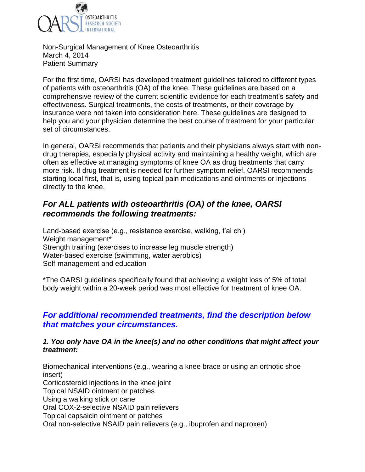

Non-Surgical Management of Knee Osteoarthritis March 4, 2014 Patient Summary

For the first time, OARSI has developed treatment guidelines tailored to different types of patients with osteoarthritis (OA) of the knee. These guidelines are based on a comprehensive review of the current scientific evidence for each treatment's safety and effectiveness. Surgical treatments, the costs of treatments, or their coverage by insurance were not taken into consideration here. These guidelines are designed to help you and your physician determine the best course of treatment for your particular set of circumstances.

In general, OARSI recommends that patients and their physicians always start with nondrug therapies, especially physical activity and maintaining a healthy weight, which are often as effective at managing symptoms of knee OA as drug treatments that carry more risk. If drug treatment is needed for further symptom relief, OARSI recommends starting local first, that is, using topical pain medications and ointments or injections directly to the knee.

# *For ALL patients with osteoarthritis (OA) of the knee, OARSI recommends the following treatments:*

Land-based exercise (e.g., resistance exercise, walking, t'ai chi) Weight management\* Strength training (exercises to increase leg muscle strength) Water-based exercise (swimming, water aerobics) Self-management and education

\*The OARSI guidelines specifically found that achieving a weight loss of 5% of total body weight within a 20-week period was most effective for treatment of knee OA.

## *For additional recommended treatments, find the description below that matches your circumstances.*

#### *1. You only have OA in the knee(s) and no other conditions that might affect your treatment:*

Biomechanical interventions (e.g., wearing a knee brace or using an orthotic shoe insert) Corticosteroid injections in the knee joint Topical NSAID ointment or patches Using a walking stick or cane Oral COX-2-selective NSAID pain relievers

Topical capsaicin ointment or patches

Oral non-selective NSAID pain relievers (e.g., ibuprofen and naproxen)